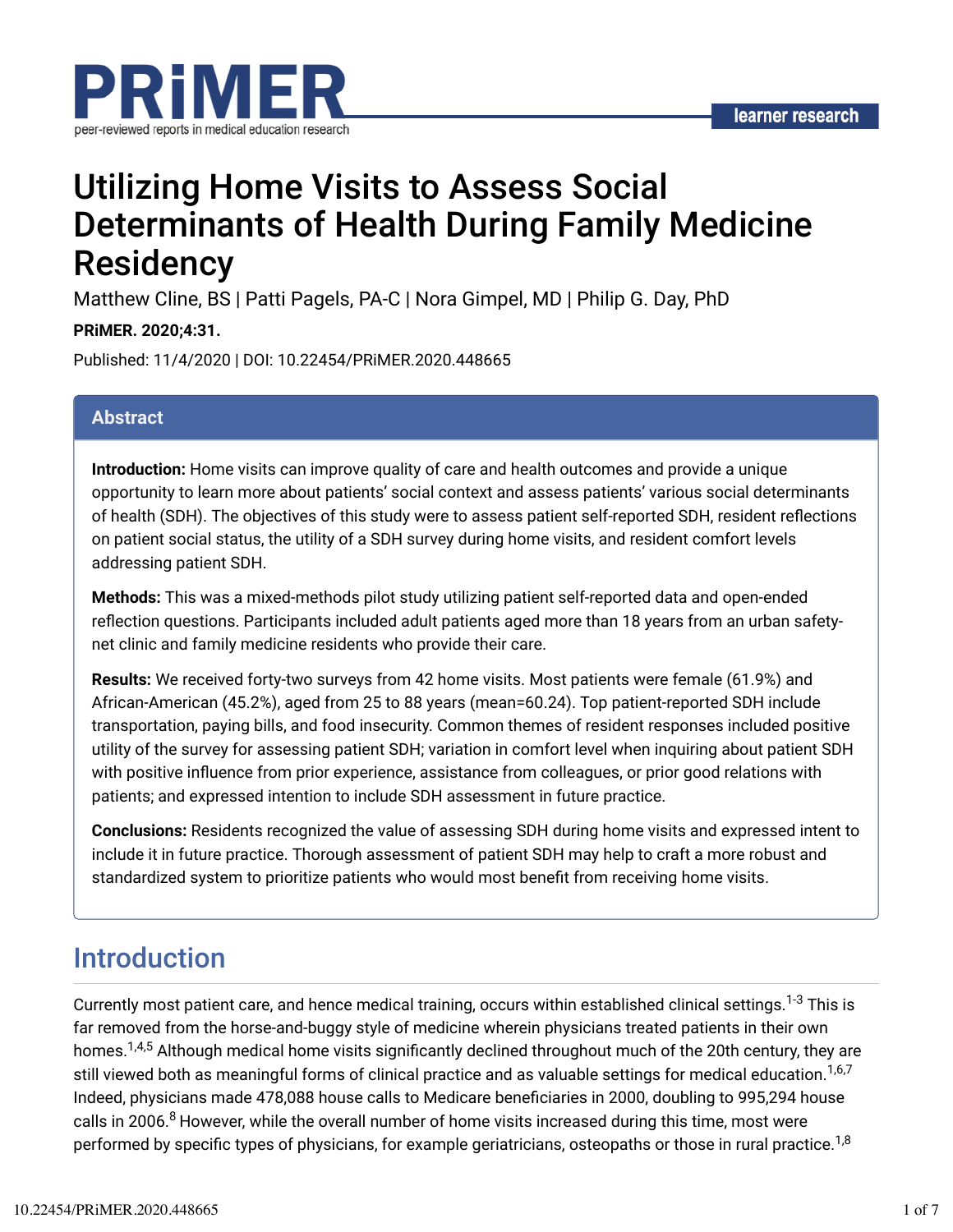

# Utilizing Home Visits to Assess Social Determinants of Health During Family Medicine **Residency**

Matthew Cline, BS | Patti Pagels, PA-C | Nora Gimpel, MD | Philip G. Day, PhD

#### **PRiMER. 2020;4:31.**

Published: 11/4/2020 | DOI: 10.22454/PRiMER.2020.448665

#### **Abstract**

**Introduction:** Home visits can improve quality of care and health outcomes and provide a unique opportunity to learn more about patients' social context and assess patients' various social determinants of health (SDH). The objectives of this study were to assess patient self-reported SDH, resident reflections on patient social status, the utility of a SDH survey during home visits, and resident comfort levels addressing patient SDH.

**Methods:** This was a mixed-methods pilot study utilizing patient self-reported data and open-ended reflection questions. Participants included adult patients aged more than 18 years from an urban safetynet clinic and family medicine residents who provide their care.

**Results:** We received forty-two surveys from 42 home visits. Most patients were female (61.9%) and African-American (45.2%), aged from 25 to 88 years (mean=60.24). Top patient-reported SDH include transportation, paying bills, and food insecurity. Common themes of resident responses included positive utility of the survey for assessing patient SDH; variation in comfort level when inquiring about patient SDH with positive influence from prior experience, assistance from colleagues, or prior good relations with patients; and expressed intention to include SDH assessment in future practice.

**Conclusions:** Residents recognized the value of assessing SDH during home visits and expressed intent to include it in future practice. Thorough assessment of patient SDH may help to craft a more robust and standardized system to prioritize patients who would most benefit from receiving home visits.

# Introduction

Currently most patient care, and hence medical training, occurs within established clinical settings. $^{1\text{-}3}$  This is far removed from the horse-and-buggy style of medicine wherein physicians treated patients in their own homes.<sup>1,4,5</sup> Although medical home visits significantly declined throughout much of the 20th century, they are still viewed both as meaningful forms of clinical practice and as valuable settings for medical education.<sup>1,6,7</sup> Indeed, physicians made 478,088 house calls to Medicare beneficiaries in 2000, doubling to 995,294 house calls in 2006.<sup>8</sup> However, while the overall number of home visits increased during this time, most were performed by specific types of physicians, for example geriatricians, osteopaths or those in rural practice. $^{1,8}$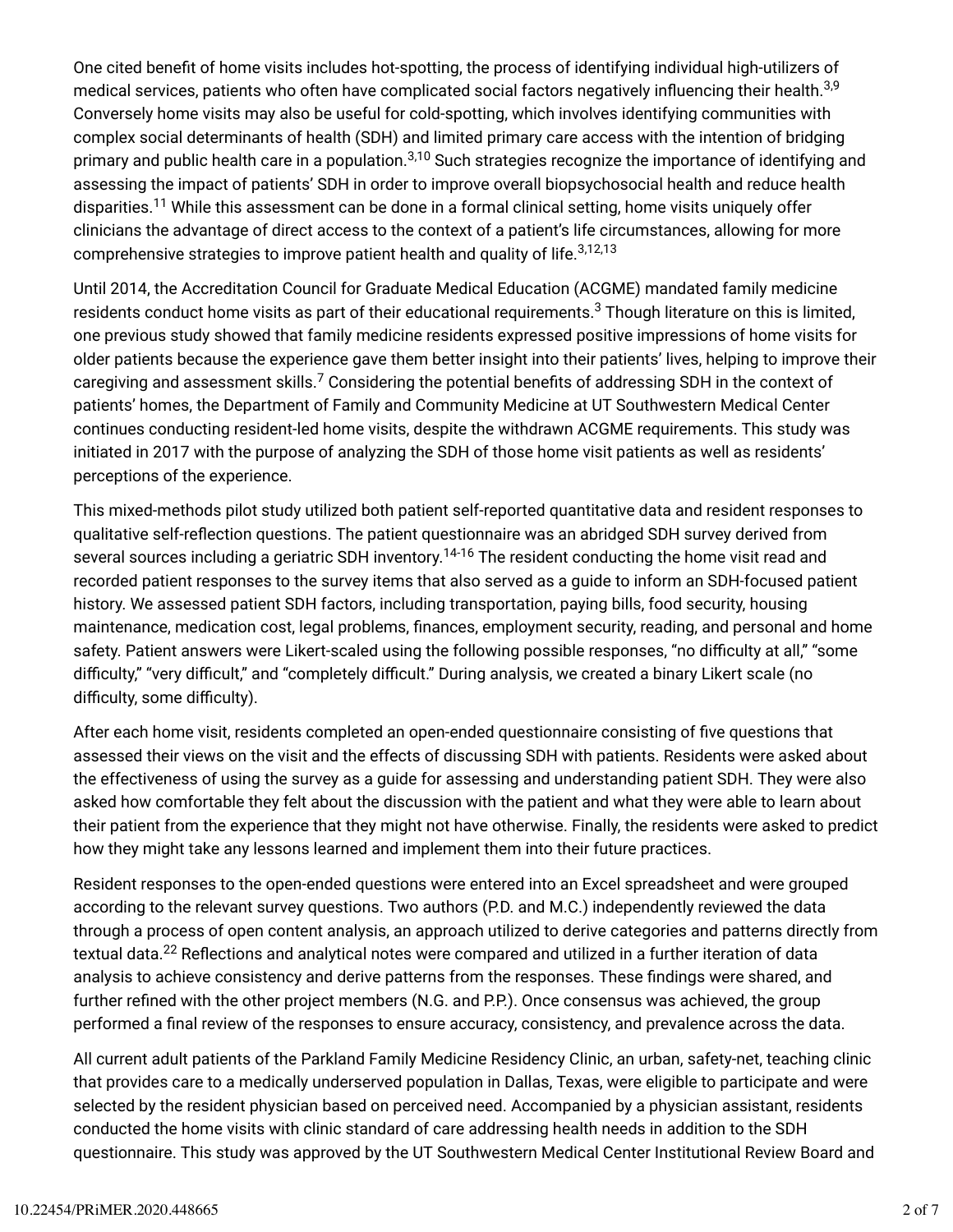One cited benefit of home visits includes hot-spotting, the process of identifying individual high-utilizers of medical services, patients who often have complicated social factors negatively influencing their health.<sup>3,9</sup> Conversely home visits may also be useful for cold-spotting, which involves identifying communities with complex social determinants of health (SDH) and limited primary care access with the intention of bridging primary and public health care in a population.<sup>3,10</sup> Such strategies recognize the importance of identifying and assessing the impact of patients' SDH in order to improve overall biopsychosocial health and reduce health disparities.<sup>11</sup> While this assessment can be done in a formal clinical setting, home visits uniquely offer clinicians the advantage of direct access to the context of a patient's life circumstances, allowing for more comprehensive strategies to improve patient health and quality of life. 3,12,13

Until 2014, the Accreditation Council for Graduate Medical Education (ACGME) mandated family medicine residents conduct home visits as part of their educational requirements. $^3$  Though literature on this is limited, one previous study showed that family medicine residents expressed positive impressions of home visits for older patients because the experience gave them better insight into their patients' lives, helping to improve their caregiving and assessment skills. $^7$  Considering the potential benefits of addressing SDH in the context of patients' homes, the Department of Family and Community Medicine at UT Southwestern Medical Center continues conducting resident-led home visits, despite the withdrawn ACGME requirements. This study was initiated in 2017 with the purpose of analyzing the SDH of those home visit patients as well as residents' perceptions of the experience.

This mixed-methods pilot study utilized both patient self-reported quantitative data and resident responses to qualitative self-reflection questions. The patient questionnaire was an abridged SDH survey derived from several sources including a geriatric SDH inventory.<sup>14-16</sup> The resident conducting the home visit read and recorded patient responses to the survey items that also served as a guide to inform an SDH-focused patient history. We assessed patient SDH factors, including transportation, paying bills, food security, housing maintenance, medication cost, legal problems, finances, employment security, reading, and personal and home safety. Patient answers were Likert-scaled using the following possible responses, "no difficulty at all," "some difficulty," "very difficult," and "completely difficult." During analysis, we created a binary Likert scale (no difficulty, some difficulty).

After each home visit, residents completed an open-ended questionnaire consisting of five questions that assessed their views on the visit and the effects of discussing SDH with patients. Residents were asked about the effectiveness of using the survey as a guide for assessing and understanding patient SDH. They were also asked how comfortable they felt about the discussion with the patient and what they were able to learn about their patient from the experience that they might not have otherwise. Finally, the residents were asked to predict how they might take any lessons learned and implement them into their future practices.

Resident responses to the open-ended questions were entered into an Excel spreadsheet and were grouped according to the relevant survey questions. Two authors (P.D. and M.C.) independently reviewed the data through a process of open content analysis, an approach utilized to derive categories and patterns directly from textual data. $^{22}$  Reflections and analytical notes were compared and utilized in a further iteration of data analysis to achieve consistency and derive patterns from the responses. These findings were shared, and further refined with the other project members (N.G. and P.P.). Once consensus was achieved, the group performed a final review of the responses to ensure accuracy, consistency, and prevalence across the data.

All current adult patients of the Parkland Family Medicine Residency Clinic, an urban, safety-net, teaching clinic that provides care to a medically underserved population in Dallas, Texas, were eligible to participate and were selected by the resident physician based on perceived need. Accompanied by a physician assistant, residents conducted the home visits with clinic standard of care addressing health needs in addition to the SDH questionnaire. This study was approved by the UT Southwestern Medical Center Institutional Review Board and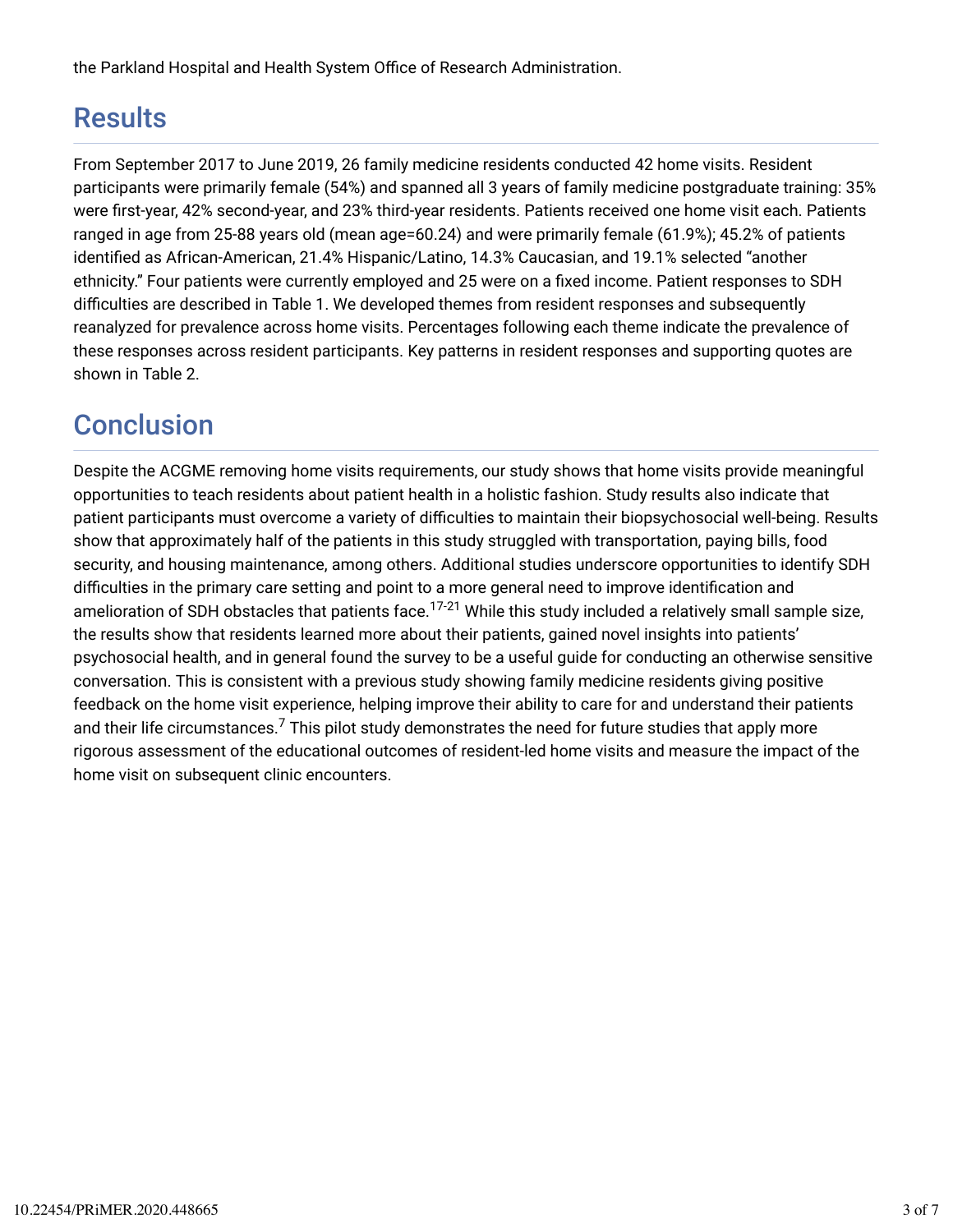the Parkland Hospital and Health System Office of Research Administration.

## **Results**

From September 2017 to June 2019, 26 family medicine residents conducted 42 home visits. Resident participants were primarily female (54%) and spanned all 3 years of family medicine postgraduate training: 35% were first-year, 42% second-year, and 23% third-year residents. Patients received one home visit each. Patients ranged in age from 25-88 years old (mean age=60.24) and were primarily female (61.9%); 45.2% of patients identified as African-American, 21.4% Hispanic/Latino, 14.3% Caucasian, and 19.1% selected "another ethnicity." Four patients were currently employed and 25 were on a fixed income. Patient responses to SDH difficulties are described in Table 1. We developed themes from resident responses and subsequently reanalyzed for prevalence across home visits. Percentages following each theme indicate the prevalence of these responses across resident participants. Key patterns in resident responses and supporting quotes are shown in Table 2.

# **Conclusion**

Despite the ACGME removing home visits requirements, our study shows that home visits provide meaningful opportunities to teach residents about patient health in a holistic fashion. Study results also indicate that patient participants must overcome a variety of difficulties to maintain their biopsychosocial well-being. Results show that approximately half of the patients in this study struggled with transportation, paying bills, food security, and housing maintenance, among others. Additional studies underscore opportunities to identify SDH difficulties in the primary care setting and point to a more general need to improve identification and amelioration of SDH obstacles that patients face.<sup>17-21</sup> While this study included a relatively small sample size, the results show that residents learned more about their patients, gained novel insights into patients' psychosocial health, and in general found the survey to be a useful guide for conducting an otherwise sensitive conversation. This is consistent with a previous study showing family medicine residents giving positive feedback on the home visit experience, helping improve their ability to care for and understand their patients and their life circumstances. $^7$  This pilot study demonstrates the need for future studies that apply more rigorous assessment of the educational outcomes of resident-led home visits and measure the impact of the home visit on subsequent clinic encounters.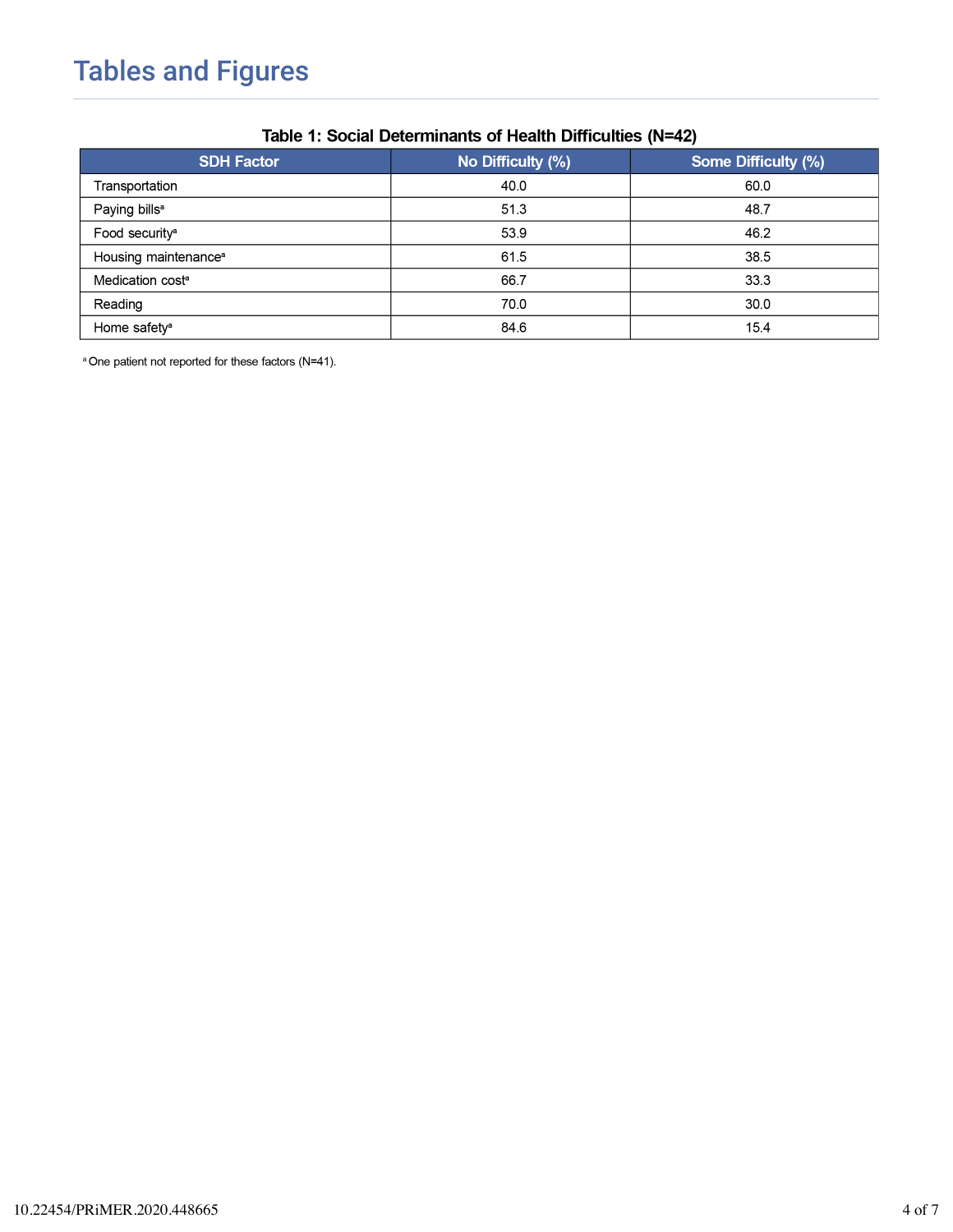| <b>SDH Factor</b>                | No Difficulty (%) | Some Difficulty (%) |
|----------------------------------|-------------------|---------------------|
| Transportation                   | 40.0              | 60.0                |
| Paying bills <sup>a</sup>        | 51.3              | 48.7                |
| Food security <sup>a</sup>       | 53.9              | 46.2                |
| Housing maintenance <sup>®</sup> | 61.5              | 38.5                |
| Medication cost <sup>a</sup>     | 66.7              | 33.3                |
| Reading                          | 70.0              | 30.0                |
| Home safety <sup>a</sup>         | 84.6              | 15.4                |

#### Table 1: Social Determinants of Health Difficulties (N=42)

<sup>a</sup> One patient not reported for these factors (N=41).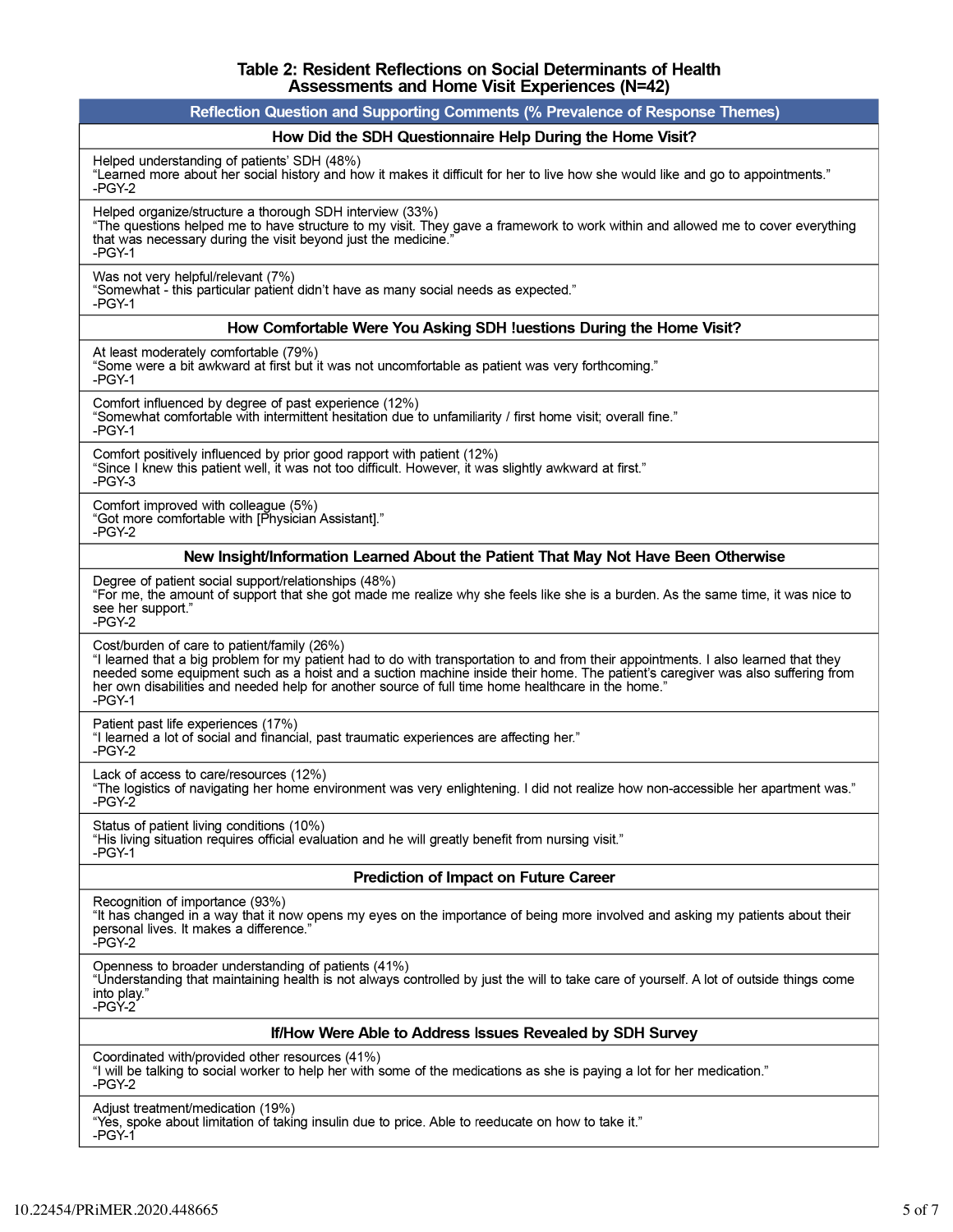# Table 2: Resident Reflections on Social Determinants of Health<br>Assessments and Home Visit Experiences (N=42)

| Reflection Question and Supporting Comments (% Prevalence of Response Themes)                                                                                                                                                                                                                                                                                                                                                          |  |  |
|----------------------------------------------------------------------------------------------------------------------------------------------------------------------------------------------------------------------------------------------------------------------------------------------------------------------------------------------------------------------------------------------------------------------------------------|--|--|
| How Did the SDH Questionnaire Help During the Home Visit?                                                                                                                                                                                                                                                                                                                                                                              |  |  |
| Helped understanding of patients' SDH (48%)<br>"Learned more about her social history and how it makes it difficult for her to live how she would like and go to appointments."<br>-PGY-2                                                                                                                                                                                                                                              |  |  |
| Helped organize/structure a thorough SDH interview (33%)<br>"The questions helped me to have structure to my visit. They gave a framework to work within and allowed me to cover everything<br>that was necessary during the visit beyond just the medicine.'<br>-PGY-1                                                                                                                                                                |  |  |
| Was not very helpful/relevant (7%)<br>"Somewhat - this particular patient didn't have as many social needs as expected."<br>$-PGY-1$                                                                                                                                                                                                                                                                                                   |  |  |
| How Comfortable Were You Asking SDH !uestions During the Home Visit?                                                                                                                                                                                                                                                                                                                                                                   |  |  |
| At least moderately comfortable (79%)<br>"Some were a bit awkward at first but it was not uncomfortable as patient was very forthcoming."<br>-PGY-1                                                                                                                                                                                                                                                                                    |  |  |
| Comfort influenced by degree of past experience (12%)<br>"Somewhat comfortable with intermittent hesitation due to unfamiliarity / first home visit; overall fine."<br>-PGY-1                                                                                                                                                                                                                                                          |  |  |
| Comfort positively influenced by prior good rapport with patient (12%)<br>"Since I knew this patient well, it was not too difficult. However, it was slightly awkward at first."<br>$-PGY-3$                                                                                                                                                                                                                                           |  |  |
| Comfort improved with colleague (5%)<br>"Got more comfortable with [Physician Assistant]."<br>$-PGY-2$                                                                                                                                                                                                                                                                                                                                 |  |  |
| New Insight/Information Learned About the Patient That May Not Have Been Otherwise                                                                                                                                                                                                                                                                                                                                                     |  |  |
| Degree of patient social support/relationships (48%)<br>"For me, the amount of support that she got made me realize why she feels like she is a burden. As the same time, it was nice to<br>see her support."<br>$-PGY-2$                                                                                                                                                                                                              |  |  |
| Cost/burden of care to patient/family (26%)<br>"I learned that a big problem for my patient had to do with transportation to and from their appointments. I also learned that they<br>needed some equipment such as a hoist and a suction machine inside their home. The patient's caregiver was also suffering from<br>her own disabilities and needed help for another source of full time home healthcare in the home."<br>$-PGY-1$ |  |  |
| Patient past life experiences (17%)<br>"I learned a lot of social and financial, past traumatic experiences are affecting her."<br>$-PGY-2$                                                                                                                                                                                                                                                                                            |  |  |
| Lack of access to care/resources (12%)<br>"The logistics of navigating her home environment was very enlightening. I did not realize how non-accessible her apartment was."<br>-PGY-2                                                                                                                                                                                                                                                  |  |  |
| Status of patient living conditions (10%)<br>"His living situation requires official evaluation and he will greatly benefit from nursing visit."<br>-PGY-1                                                                                                                                                                                                                                                                             |  |  |
| <b>Prediction of Impact on Future Career</b>                                                                                                                                                                                                                                                                                                                                                                                           |  |  |
| Recognition of importance (93%)<br>"It has changed in a way that it now opens my eyes on the importance of being more involved and asking my patients about their<br>personal lives. It makes a difference."<br>-PGY-2                                                                                                                                                                                                                 |  |  |
| Openness to broader understanding of patients (41%)<br>"Understanding that maintaining health is not always controlled by just the will to take care of yourself. A lot of outside things come<br>into play."<br>-PGY-2                                                                                                                                                                                                                |  |  |
| If/How Were Able to Address Issues Revealed by SDH Survey                                                                                                                                                                                                                                                                                                                                                                              |  |  |
| Coordinated with/provided other resources (41%)<br>"I will be talking to social worker to help her with some of the medications as she is paying a lot for her medication."<br>-PGY 2                                                                                                                                                                                                                                                  |  |  |
| Adjust treatment/medication (19%)<br>"Yes, spoke about limitation of taking insulin due to price. Able to reeducate on how to take it."<br>-PGY-1                                                                                                                                                                                                                                                                                      |  |  |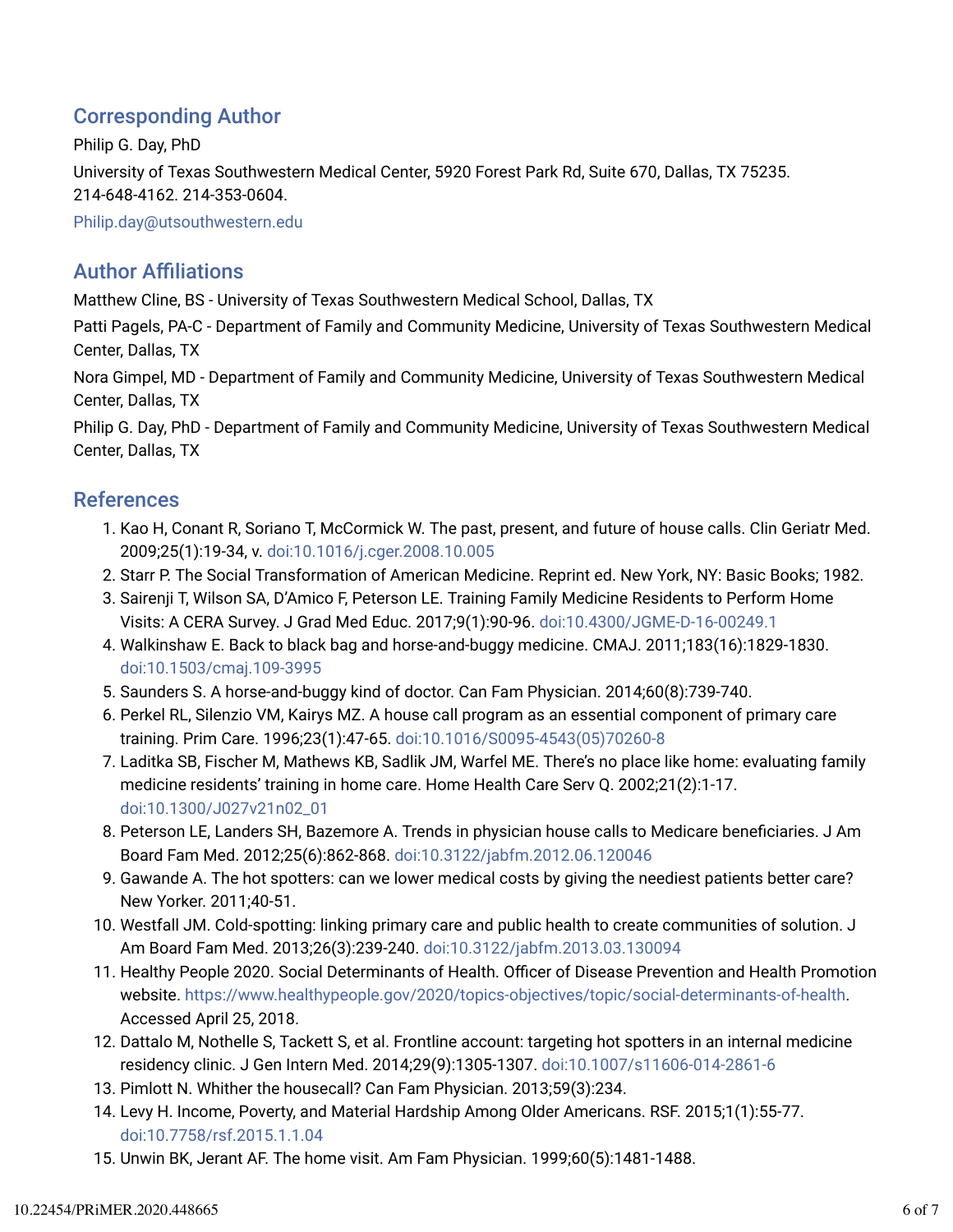### Corresponding Author

Philip G. Day, PhD University of Texas Southwestern Medical Center, 5920 Forest Park Rd, Suite 670, Dallas, TX 75235. 214-648-4162. 214-353-0604.

Philip.day@utsouthwestern.edu

### **Author Affiliations**

Matthew Cline, BS - University of Texas Southwestern Medical School, Dallas, TX

Patti Pagels, PA-C - Department of Family and Community Medicine, University of Texas Southwestern Medical Center, Dallas, TX

Nora Gimpel, MD - Department of Family and Community Medicine, University of Texas Southwestern Medical Center, Dallas, TX

Philip G. Day, PhD - Department of Family and Community Medicine, University of Texas Southwestern Medical Center, Dallas, TX

### References

- 1. Kao H, Conant R, Soriano T, McCormick W. The past, present, and future of house calls. Clin Geriatr Med. 2009;25(1):19-34, v. doi:10.1016/j.cger.2008.10.005
- 2. Starr P. The Social Transformation of American Medicine. Reprint ed. New York, NY: Basic Books; 1982.
- 3. Sairenji T, Wilson SA, D'Amico F, Peterson LE. Training Family Medicine Residents to Perform Home Visits: A CERA Survey. J Grad Med Educ. 2017;9(1):90-96. doi:10.4300/JGME-D-16-00249.1
- 4. Walkinshaw E. Back to black bag and horse-and-buggy medicine. CMAJ. 2011;183(16):1829-1830. doi:10.1503/cmaj.109-3995
- 5. Saunders S. A horse-and-buggy kind of doctor. Can Fam Physician. 2014;60(8):739-740.
- 6. Perkel RL, Silenzio VM, Kairys MZ. A house call program as an essential component of primary care training. Prim Care. 1996;23(1):47-65. doi:10.1016/S0095-4543(05)70260-8
- 7. Laditka SB, Fischer M, Mathews KB, Sadlik JM, Warfel ME. There's no place like home: evaluating family medicine residents' training in home care. Home Health Care Serv Q. 2002;21(2):1-17. doi:10.1300/J027v21n02\_01
- 8. Peterson LE, Landers SH, Bazemore A. Trends in physician house calls to Medicare beneficiaries. J Am Board Fam Med. 2012;25(6):862-868. doi:10.3122/jabfm.2012.06.120046
- 9. Gawande A. The hot spotters: can we lower medical costs by giving the neediest patients better care? New Yorker. 2011;40-51.
- 10. Westfall JM. Cold-spotting: linking primary care and public health to create communities of solution. J Am Board Fam Med. 2013;26(3):239-240. doi:10.3122/jabfm.2013.03.130094
- 11. Healthy People 2020. Social Determinants of Health. Officer of Disease Prevention and Health Promotion website. https://www.healthypeople.gov/2020/topics-objectives/topic/social-determinants-of-health. Accessed April 25, 2018.
- 12. Dattalo M, Nothelle S, Tackett S, et al. Frontline account: targeting hot spotters in an internal medicine residency clinic. J Gen Intern Med. 2014;29(9):1305-1307. doi:10.1007/s11606-014-2861-6
- 13. Pimlott N. Whither the housecall? Can Fam Physician. 2013;59(3):234.
- 14. Levy H. Income, Poverty, and Material Hardship Among Older Americans. RSF. 2015;1(1):55-77. doi:10.7758/rsf.2015.1.1.04
- 15. Unwin BK, Jerant AF. The home visit. Am Fam Physician. 1999;60(5):1481-1488.